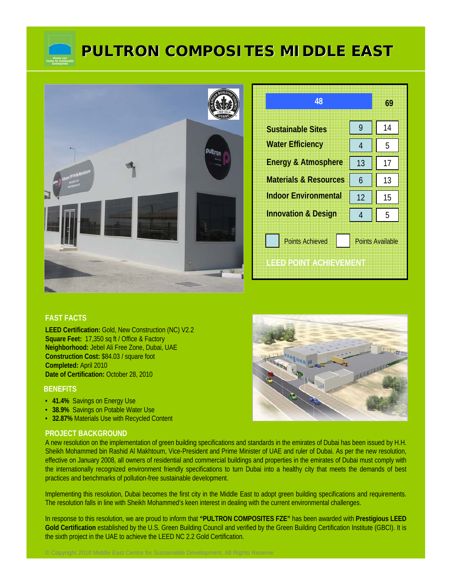

# **PULTRON COMPOSITES MIDDLE EAST PULTRON COMPOSITES MIDDLE EAST**



| 48                                                                           |    | 69 |  |
|------------------------------------------------------------------------------|----|----|--|
| <b>Sustainable Sites</b>                                                     | 9  | 14 |  |
| <b>Water Efficiency</b>                                                      | 4  | 5  |  |
| <b>Energy &amp; Atmosphere</b>                                               | 13 | 17 |  |
| <b>Materials &amp; Resources</b>                                             | 6  | 13 |  |
| <b>Indoor Environmental</b>                                                  | 12 | 15 |  |
| <b>Innovation &amp; Design</b>                                               | 4  | 5  |  |
| <b>Points Achieved</b><br><b>Points Available</b><br>ILEED POINT AGHIEVEMENT |    |    |  |

#### **FAST FACTS**

**LEED Certification:** Gold, New Construction (NC) V2.2 **Square Feet:** 17,350 sq ft / Office & Factory **Neighborhood:** Jebel Ali Free Zone, Dubai, UAE **Construction Cost:** \$84.03 / square foot **Completed:** April 2010 **Date of Certification:** October 28, 2010

#### **BENEFITS**

- **41.4%** Savings on Energy Use
- **38.9%** Savings on Potable Water Use
- **32.87%** Materials Use with Recycled Content

#### **PROJECT BACKGROUND**

A new resolution on the implementation of green building specifications and standards in the emirates of Dubai has been issued by H.H. Sheikh Mohammed bin Rashid Al Makhtoum, Vice-President and Prime Minister of UAE and ruler of Dubai. As per the new resolution, effective on January 2008, all owners of residential and commercial buildings and properties in the emirates of Dubai must comply with the internationally recognized environment friendly specifications to turn Dubai into a healthy city that meets the demands of best practices and benchmarks of pollution-free sustainable development.

Implementing this resolution, Dubai becomes the first city in the Middle East to adopt green building specifications and requirements. The resolution falls in line with Sheikh Mohammed's keen interest in dealing with the current environmental challenges.

In response to this resolution, we are proud to inform that **"PULTRON COMPOSITES FZE"** has been awarded with **Prestigious LEED Gold Certification** established by the U.S. Green Building Council and verified by the Green Building Certification Institute (GBCI). It is the sixth project in the UAE to achieve the LEED NC 2.2 Gold Certification.